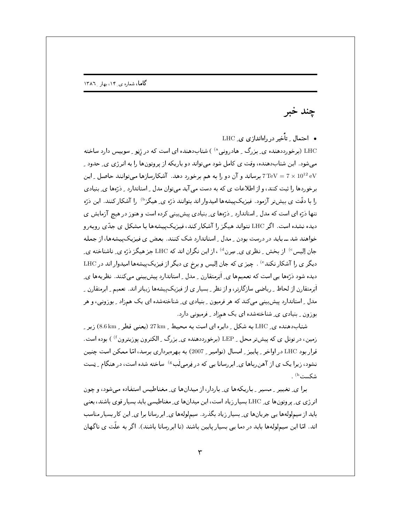چند خبر

• احتمال تأخیر در راهاندازی ی LHC

LHC (برخورددهنده ی بزرگ ۱ هادرونی<sup>ه)</sup> ) شتابدهنده ای است که در ژنو ۱ سوییس دارد ساخته می شود. این شتاب دهنده، وقت ی کامل شود می تواند دو باریکه از پر وتونها را به انرژی ی ِ حدود ِ 7 TeV = 7 x 10 برساند و آن دو را به هم برخورد دهد. آشکارسازها میتوانند حاصل \_ این TeV = 7 برساند و آن برخوردها را ثبت کنند، و از اطلاعات ی که به دست می آید می توان مدل ِ استاندارد ِ ِ دْرَّەها ی ِ بنیادی را با دقّت ی بیشتر آزمود. فیزیکییشهها امیدوار اند بتوانند درّه ی ِ هیگز<sup>ه)</sup> را آشکار کنند. این درّه تنها ذرّه ای است که مدل ِ استاندارد ِ ِ ذرّهها ی ِ بنیادی پیشبینی کرده است و هنوز در هیچ آزمایش ی دیده نشده است. اگر LHC نتواند هیگز را آشکار کند، فیزیک پیشهها با مشکل ی جدّی روبهرو خواهند شد ـ باید در درست بودن \_ مدل \_ استاندارد شک کنند. بعض ی فیزیکپیشهها، از جمله جان اِلیس<sup>c)</sup> از بخش ِ نظری ی ِ سِرن<sup>d</sup> ، از این نگران اند که LHC جز هیگز ذرّه ی ِ ناشناخته ی ِ دیگر ی را آشکار نکند<sup>6)</sup> . چیز ی که جان اِلیس و برخ ی دیگر از فیزیکپیشهها امیدوار اند در LHC دیده شود ذرَّمعا پی است که تعمیمها ی ِ اَبَرمتقارن ِ مدل ِ استاندارد پیش بینی می کنند. نظر یهها ی ِ اَبَرمتقارن از لحاظ ِ ِ ریاضی سازگارتر، و از نظر ِ ِ بِسِیار ی از فیزیک پیشهها زیباتر اند. تعمیم ِ ابرمتقارن ِ مدل ِ استاندارد پیش بینبی میکند که هر فرمیون ِ بنیادی ی ِ شناختهشده ای یک همزاد ِ بوزونی، و هر بوزون \_ بنیادی ی\_ شناختهشده ای یک همزاد \_ فرمیونی دارد.

شتاب(هنده ی LHC به شکل ِ دایره ای است به محیط ِ 27km (یعنی قطر ِ 8.6km) زیرِ ِ زمین، در تونل ی که پیش تر محل \_ LEP (برخورددهنده ی ِ بزرگ \_ الکترون پوزیترون f ) بوده است. قرار بود LHC در اواخر \_ پاييز \_ امسال (نوامبر \_ 2007) به بهرهبرداري برسد، امّا ممكن است چنين نشود، زیرا یک ی از آهن رباها ی ایر رسانا یی که در فرمی لَب<sup>®)</sup> ساخته شده است، در هنگام <sub>ب</sub> تِست شکست<sup>h</sup>)

برا ی ِ تغییر ِ مسیر ِ باریکهها ی ِ باردار، از میدانها ی ِ مغناطیس استفاده میشود، و چون انرژی ی ِ پروتون ها ی ِ LHC بسیار زیاد است، این میدان ها ی ِ مغناطیسی باید بسیار قوی باشند، یعنی باید از سیملولهها یی جریانها ی ِ بسیار زیاد بگذرد . سیملولهها ی ِ ابررسانا برا ی ِ این کار بسیار مناسب اند. امّا این سیملولهها باید در دما یبی بسیار پایین باشند (تا ابررسانا باشند). اگر به علّت ی ناگهان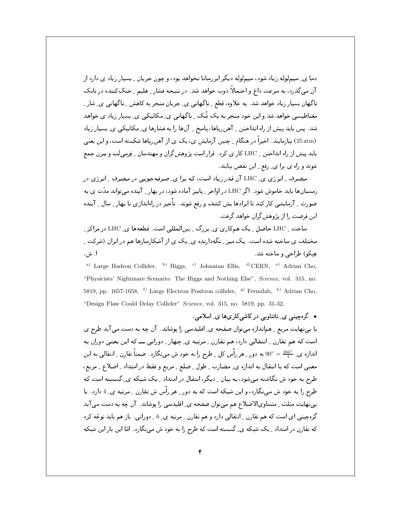دما ی ِ سیملوله زیاد شود، سیملوله دیگر ابررسانا نخواهد بود، و چون جریان ِ بسیار زیاد ی دارد از آن میگذرد، به سرعت داغ و احتمالاً ذوب خواهد شد. در نتیجه فشار ِ هلیم ِ خنککننده در تانک ناگهان بسیار زیاد خواهد شد. به علاوه، قطع ِ ناگهانبی ی ِ جریان منجر به کاهش ِ ناگهانبی ی ِ شارِ ِ مغناطیسی خواهد شد و این خود منجر به یک شُک ِ ناگهانی ی ِ مکانیکی ی ِ بسیار زیاد ی خواهد شد. پس باید پیش از راه انداختن <sub>-</sub> آهنرباها، پاسخ <sub>-</sub> آنها را به فشارها ی ِ مکانیکی ی ِ بسیار زیاد (25 atm) بیازمایند. اخیراً در هنگام <sub>-</sub> چنین آزمایش ی، یک ی از آهنرباها شکسته است، و این یعنی باید پیش از راه انداختن \_ LHC کار ی کرد. قرار است پژوهش\$ران و مهندسان \_ فِرمی ِلَب و سِرن جمع شوند و راه ي برا ي ِ رفع ِ اين نقص بيابند.

مصرف ِ انرژی ی ِ LHC آن قدر زیاد است، که برا ی ِ صرفهجویی در مصرف ِ انرژی در .<br>زمستانها باید خاموش شود. اگر LHC در اواخر ـ پاییز آماده شود، در بهار \_ آینده می تواند مدّت ی به صورت ِ آزمایشی کار کند تا ایرادها یش کشف و رفع شوند. تأخیر در راهاندازی تا بهار ِ سال ِ آینده این فرصت را از پژوهش گران خواهد گرفت.

ساخت \_ LHC حاصل \_ یک همکاری ی\_ بزرگ \_ بینالمللی است. قطعهها ی\_ LHC در مراکز \_ مختلف ی ساخته شده است. یک میز ِ نگهدارنده ی ِ یک ی از آشکارسازها هم در ایران (شرکت ِ هِيكُو) طراحي و ساخته شد. ا. ش.

<sup>a)</sup> Large Hadron Collider, <sup>b)</sup> Higgs, <sup>c)</sup> Johnatan Ellis, <sup>d)</sup>CERN, <sup>e)</sup> Adrian Cho, "Physicists' Nightmare Scenario: The Higgs and Nothing Else", Science, vol. 315, no. 5819, pp. 1657-1658, <sup>f)</sup> Large Electron Positron collider, <sup>g)</sup> Fermilab, <sup>h)</sup> Adrian Cho, "Design Flaw Could Delay Collider" Science, vol. 315, no. 5819, pp. 31-32,

• گرەچينى ي ِ ناتناوبى در كاشى كارىھا ي ِ اسلامى. با بینهایت مربع ِ هماندازه میتوان صفحه ی ِ اقلیدسی را پوشاند. آن چه به دست می آید طرح ی است که هم تقارن ِ انتقالی دارد، هم تقارن ِ مرتبه ی ِ چهار ِ دورانی ــــ که این یعنی دوران به اندازہ ی ِ حَقّہ = 90° به دور ِ هر رأس کل ِ طرح را به خود ش میںنگارد. ضمناً تقارن ِ انتقالی به این معنى است كه با انتقال به اندازه ي ِ مضارب ِ طول ِ ضلع ِ مربع و فقط در امتداد ِ اضلاع ِ مربع، طرح به خود ش نگاشته میشود، به بیان \_ دیگر، انتقال در امتداد \_ یک شبکه ی\_ گسسته است که طرح را به خود ش می نگارد، و این شبکه است که به دور ِ هر رأس ش تقارن ِ مرتبه ی ِ 4 دارد. با بینهایت مثلث ِ متساویالاضلاع هم میتوان صفحه ی ِ اقلیدسی را پوشاند. آن چه به دست می آید گرهچینبی ای است که هم تقارن <sub>-</sub> انتقالبی دارد و هم تقارن <sub>-</sub> مرتبه ی ِ 6 <sub>-</sub> دورانبی. باز هم باید توجّه کرد که تقارن در امتداد <sub>-</sub> یک شبکه ی ِ گسسته است که طرح را به خود ش می نگارد. امّا این بار این شبکه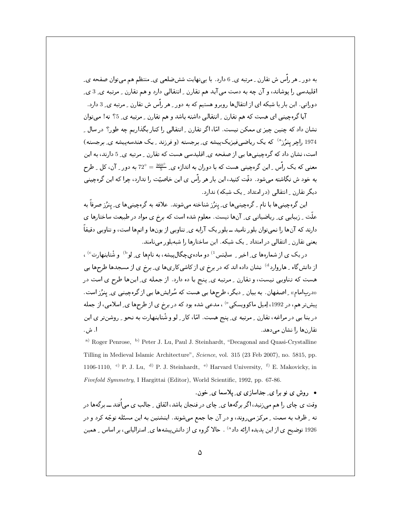به دور \_ هر رأَّس ش تقارن \_ مرتبه ی ِ 6 دارد. با بینهایت شش≪لعی ی ِ منتظم هم میتوان صفحه ی ِ اقلیدسی را پوشاند، و آن چه به دست می آید هم تقارن ِ انتقالی دارد و هم تقارن ِ مرتبه ی ِ 3 ی ِ دورانی . این بار با شبکه ای از انتقال۱ها روبرو هستیم که به دور ِ هر رأس ش تقارن ِ مرتبه ی ِ 3 دارد.

آیا گرهچینی ای هست که هم تقارن ِ انتقالی داشته باشد و هم تقارن ِ مرتبه ی ِ 5؟ نه! می توان نشان داد که چنین چیز ی ممکن نیست. امّا، اگر تقارن ِ انتقالی را کنار بگذاریم چه طور؟ در سال ِ ِ 1974 راجر ینرُز<sup>۹)</sup> که یک ریاضیفیزیکپیشه ی ِ برجسته (و فرزند ِ یک هندسهپیشه ی ِ برجسته) است، نشان داد که گرمچینیها یی از صفحه ی ِ اقلیدسی هست که تقارن - مرتبه ی ِ 5 دارند، به این معنی که یک رأس <sub>-</sub> این گرهچینی هست که با دوران به اندازه ی ِ <sup>\_360</sup> = 2<sup>0 ب</sup>ه دور <sub>-</sub> آن، کل <sub>-</sub> طرح به خود ش نگاشته میشود. دقّت کنید، این بار هر راّس ی این خاصیّت را ندارد، چرا که این گرهچینی دیگر تقارن ِ انتقالی (در امتداد ِ یک شبکه) ندارد.

این گرەچینی ها با نام ¸ گرەچینی ها ی ٍ پنرُز شناخته می شوند. علاقه به گرەچینی ها ی ِ پنرُز صرفاً به علَّت ِ زیبایی ی ِ ریاضیاتی ی ِ آنها نیست. معلوم شده است که برخ ی مواد در طبیعت ساختارها ی دارند که آنها را نمیتوان بلور نامید ــ بلور یک آرایه ی ِ تناوبی از یونها و اتمها است، و تناوبی دقیقاً یعنی تقارن به انتقالی در امتداد به یک شبکه . این ساختارها را شبه بلور می نامند .

در یک ی از شمارهها ی ِ اخیر ِ ِ ساینس <sup>1)</sup> دو ماده ی چگال پیشه، به نامها ی ِ لو<sup>د)</sup> و شْتاینهار<sup>ت c</sup> ، از دانشگاه ِ هاروارد<sup>4)</sup> نشان داده اند که در برخ ی از کاشیکاریها ی ِ برخ ی از مسجدها طرحها یی هست که تناوبی نیست، و تقارن \_ مرتبه ی\_ پنج یا ده دارد. از جمله ی\_ اینها طرح ی است در «دربامام» ِ اصفهان. به بیان ِ دیگر، طرحها یی هست که سُرایشها یی از گرهچینی ی ِ پنرُز است. پیشتر هم، در 1992، اِمیل ماکوویسکی<sup>66</sup> ، مدعی شده بود که در برخ ی از طرحها ی ِ اسلامی، از جمله دربنا یبی در مراغه، تقارن <sub>-</sub> مرتبه ی<sub>-</sub> پنج هست. امّا، کار <sub>-</sub> لو و شْتاینهارت به نحو <sub>-</sub> روشنتر ی این ا. ش. تقارنها را نشان میدهد.

<sup>a)</sup> Roger Penrose, <sup>b)</sup> Peter J. Lu, Paul J. Steinhardt, "Decagonal and Quasi-Crystalline Tilling in Medieval Islamic Architecture", Science, vol. 315 (23 Feb 2007), no. 5815, pp. 1106-1110, <sup>c)</sup> P. J. Lu, <sup>d)</sup> P. J. Steinhardt, <sup>e)</sup> Harvard University, <sup>f)</sup> E. Makovicky, in Fivefold Symmetry, I Hargittai (Editor), World Scientific, 1992, pp. 67-86.

• روش ی نو برا ی جداسازی ی ِ پلاسما ی ِ خون. وقت ی چای را هم می;نید، اگر برگهها ی ِ چای در فنجان باشد، اتّفاق ِ جالب ی می)فُتد ـــ برگهها در ته - ظرف به سمت - مرکز می روند، و در آن جا جمع می شوند. اینشتین به این مسئله توجّه کرد و در 1926 توضیح ی از این پدیده ارائه داد<sup>ه)</sup> . حالا گروه ی از دانش پیشهها ی ِ استرالیایی، بر اساس ِ همین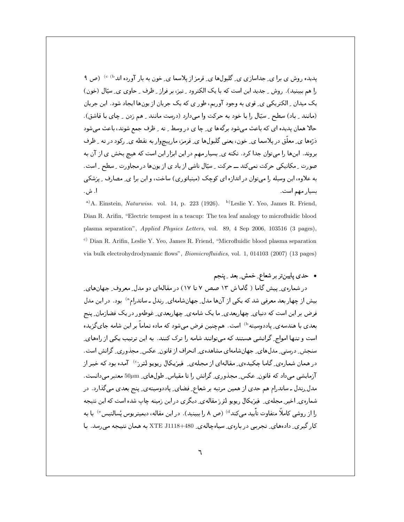یدیده روش ی برا ی ِ جداسازی ی ِ گلبولها ی ِ قرمز از یلاسما ی ِ خون به بار آورده اند<sup>b) )</sup> (ص ۹ را هم ببینید). روش ِ جدید این است که با یک الکترود ِ تیز، بر فراز ِ ظرف ِ حاوی ی ِ سیّال (خون) یک میدان ِ الکتریکی ی ِ قوی به وجود آوریم، طور ی که یک جریان از یونها ایجاد شود. این جریان (مانند \_ باد) سطح \_ سیّال را با خود به حرکت وا میدارد (درست مانند \_ هم زدن \_ چای با قاشق). حالا همان پدیده ای که باعث می شود برگهها ی ِ چا ی در وسط ۱ ِ ته ۱ ِ ظرف جمع شوند، باعث می شود ذرّها ی ِ معلّق در پلاسما ی ِ خون، یعنی گلبولها ی ِ قرمز، مارییچوار به نقطه ی ِ رکود در ته ِ ظرف بروند. اینها را می;توان جدا کرد. نکته ی ِ بسیار مهم در این ابزار این است که هیچ بخش ی از آن به صورت ِ مکانیکی حرکت نمی کند ــ حرکت ِ سپّال ناشی از باد ی از یونِها در مجاورت ِ سطح ِ است. به علاوه، این وسیله را می;وان در اندازه ای کوچک (مینیاتوری) ساخت، و این برا ی ِ مصارف ِ پزشکی ا. ش. بسيار مهم است.

<sup>a)</sup> A. Einstein, *Naturwiss.* vol. 14, p. 223 (1926). <sup>b)</sup> Leslie Y. Yeo, James R. Friend, Dian R. Arifin, "Electric tempest in a teacup: The tea leaf analogy to microfluidic blood plasma separation", Applied Physics Letters, vol. 89, 4 Sep 2006, 103516 (3 pages), c) Dian R. Arifin, Leslie Y. Yeo, James R. Friend, "Microfluidic blood plasma separation via bulk electrohydrodynamic flows", *Biomicrofluidics*, vol. 1, 014103 (2007) (13 pages)

• حدی پایینتر بر شعاع ِ خمش ِ بعد ِ پنجم

در شماره ی ِ پیش گاما ( گاما ش ١٣ صص ٧ تا ١٧) در مقالهای دو مدل ِ معروف ِ جهانهای ِ بیش از چهار بعد معرفی شد که یکی از آنها مدل ِجهانشامهای ِ رندل ـ ساندرام<sup>ه)</sup> بود. در این مدل فرض پر این است که دنیای چهاربعدی ِ ما یک شامهی چهاربعدی ِ غوطهور در یک فضازمان ِ پنج بعدی با هندسه <sub>ک</sub>ے پاددوسیته <sup>()</sup> است. همچنین فرض مے شود که ماده تماماً بر این شامه جای گزیده است و تنها امواج ِ گرانشی هستند که میتوانند شامه را ترک کنند. به این ترتیب یکی از راههای ِ سنجش ِ درستی ِ مدلهای ِ جهانِشامهای مشاهدهی ِ انحراف از قانون ِ عکس ِ مجذوری ِ گرانش است. در همان شمارهی ِ گاما چکیدهی ِ مقالهای از مجلهی ِ فیزیکال ریویو لترز<sup>6</sup>) آمده بود که خبر از آزمایشی می داد که قانون ِ عکس ِ مجذوری ِ گرانش را تا مقیاس ِ طولهای ِ 50μm معتبر می دانست. مدل ِرندل ـ ساندرام هم حدي از همين مرتبه بر شعاع ِ فضاي ِ پاددوسيته ي ِ پنج بعدي مي گذارد. در شماره ی ِ اخیر ِ مجله ی ِ ِ فیزیکال رپویو لتر ز مقاله ی ِ دیگر ی در این زمینه چاپ شده است که این نتیجه را از روشی کاملاً متفاوت تأیید می کند<sup>4)</sup> (ص ۸ را ببینید). در این مقاله، دیمیتریوس پْسالتیس° با به کار گیری ِ دادههای ِ تجربی در بارهی ِ سیاهچالهی ِ XTE J1118+480 به همان نتیجه می رسد. با